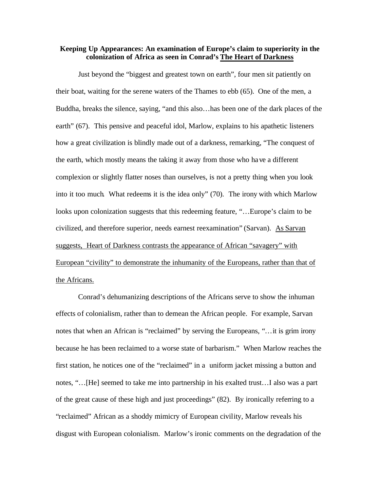## **Keeping Up Appearances: An examination of Europe's claim to superiority in the colonization of Africa as seen in Conrad's The Heart of Darkness**

Just beyond the "biggest and greatest town on earth", four men sit patiently on their boat, waiting for the serene waters of the Thames to ebb (65). One of the men, a Buddha, breaks the silence, saying, "and this also…has been one of the dark places of the earth" (67). This pensive and peaceful idol, Marlow, explains to his apathetic listeners how a great civilization is blindly made out of a darkness, remarking, "The conquest of the earth, which mostly means the taking it away from those who have a different complexion or slightly flatter noses than ourselves, is not a pretty thing when you look into it too much. What redeems it is the idea only" (70). The irony with which Marlow looks upon colonization suggests that this redeeming feature, "…Europe's claim to be civilized, and therefore superior, needs earnest reexamination" (Sarvan). As Sarvan suggests, Heart of Darkness contrasts the appearance of African "savagery" with European "civility" to demonstrate the inhumanity of the Europeans, rather than that of the Africans.

Conrad's dehumanizing descriptions of the Africans serve to show the inhuman effects of colonialism, rather than to demean the African people. For example, Sarvan notes that when an African is "reclaimed" by serving the Europeans, "…it is grim irony because he has been reclaimed to a worse state of barbarism." When Marlow reaches the first station, he notices one of the "reclaimed" in a uniform jacket missing a button and notes, "…[He] seemed to take me into partnership in his exalted trust…I also was a part of the great cause of these high and just proceedings" (82). By ironically referring to a "reclaimed" African as a shoddy mimicry of European civility, Marlow reveals his disgust with European colonialism. Marlow's ironic comments on the degradation of the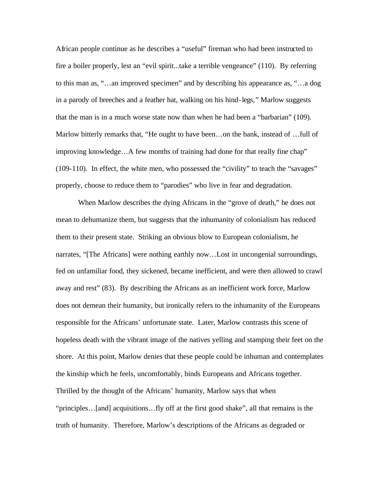African people continue as he describes a "useful" fireman who had been instructed to fire a boiler properly, lest an "evil spirit...take a terrible vengeance" (110). By referring to this man as, "…an improved specimen" and by describing his appearance as, "…a dog in a parody of breeches and a feather hat, walking on his hind-legs," Marlow suggests that the man is in a much worse state now than when he had been a "barbarian" (109). Marlow bitterly remarks that, "He ought to have been…on the bank, instead of …full of improving knowledge…A few months of training had done for that really fine chap" (109-110). In effect, the white men, who possessed the "civility" to teach the "savages" properly, choose to reduce them to "parodies" who live in fear and degradation.

When Marlow describes the dying Africans in the "grove of death," he does not mean to dehumanize them, but suggests that the inhumanity of colonialism has reduced them to their present state. Striking an obvious blow to European colonialism, he narrates, "[The Africans] were nothing earthly now…Lost in uncongenial surroundings, fed on unfamiliar food, they sickened, became inefficient, and were then allowed to crawl away and rest" (83). By describing the Africans as an inefficient work force, Marlow does not demean their humanity, but ironically refers to the inhumanity of the Europeans responsible for the Africans' unfortunate state. Later, Marlow contrasts this scene of hopeless death with the vibrant image of the natives yelling and stamping their feet on the shore. At this point, Marlow denies that these people could be inhuman and contemplates the kinship which he feels, uncomfortably, binds Europeans and Africans together. Thrilled by the thought of the Africans' humanity, Marlow says that when "principles…[and] acquisitions…fly off at the first good shake", all that remains is the truth of humanity. Therefore, Marlow's descriptions of the Africans as degraded or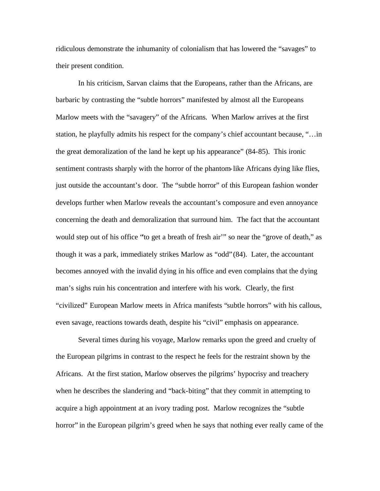ridiculous demonstrate the inhumanity of colonialism that has lowered the "savages" to their present condition.

In his criticism, Sarvan claims that the Europeans, rather than the Africans, are barbaric by contrasting the "subtle horrors" manifested by almost all the Europeans Marlow meets with the "savagery" of the Africans. When Marlow arrives at the first station, he playfully admits his respect for the company's chief accountant because, "…in the great demoralization of the land he kept up his appearance" (84-85). This ironic sentiment contrasts sharply with the horror of the phantom-like Africans dying like flies, just outside the accountant's door. The "subtle horror" of this European fashion wonder develops further when Marlow reveals the accountant's composure and even annoyance concerning the death and demoralization that surround him. The fact that the accountant would step out of his office "'to get a breath of fresh air'" so near the "grove of death," as though it was a park, immediately strikes Marlow as "odd" (84). Later, the accountant becomes annoyed with the invalid dying in his office and even complains that the dying man's sighs ruin his concentration and interfere with his work. Clearly, the first "civilized" European Marlow meets in Africa manifests "subtle horrors" with his callous, even savage, reactions towards death, despite his "civil" emphasis on appearance.

Several times during his voyage, Marlow remarks upon the greed and cruelty of the European pilgrims in contrast to the respect he feels for the restraint shown by the Africans. At the first station, Marlow observes the pilgrims' hypocrisy and treachery when he describes the slandering and "back-biting" that they commit in attempting to acquire a high appointment at an ivory trading post. Marlow recognizes the "subtle horror" in the European pilgrim's greed when he says that nothing ever really came of the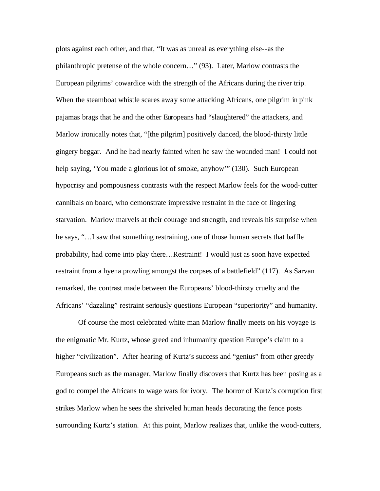plots against each other, and that, "It was as unreal as everything else--as the philanthropic pretense of the whole concern…" (93). Later, Marlow contrasts the European pilgrims' cowardice with the strength of the Africans during the river trip. When the steamboat whistle scares away some attacking Africans, one pilgrim in pink pajamas brags that he and the other Europeans had "slaughtered" the attackers, and Marlow ironically notes that, "[the pilgrim] positively danced, the blood-thirsty little gingery beggar. And he had nearly fainted when he saw the wounded man! I could not help saying, 'You made a glorious lot of smoke, anyhow'" (130). Such European hypocrisy and pompousness contrasts with the respect Marlow feels for the wood-cutter cannibals on board, who demonstrate impressive restraint in the face of lingering starvation. Marlow marvels at their courage and strength, and reveals his surprise when he says, "…I saw that something restraining, one of those human secrets that baffle probability, had come into play there…Restraint! I would just as soon have expected restraint from a hyena prowling amongst the corpses of a battlefield" (117). As Sarvan remarked, the contrast made between the Europeans' blood-thirsty cruelty and the Africans' "dazzling" restraint seriously questions European "superiority" and humanity.

Of course the most celebrated white man Marlow finally meets on his voyage is the enigmatic Mr. Kurtz, whose greed and inhumanity question Europe's claim to a higher "civilization". After hearing of Kurtz's success and "genius" from other greedy Europeans such as the manager, Marlow finally discovers that Kurtz has been posing as a god to compel the Africans to wage wars for ivory. The horror of Kurtz's corruption first strikes Marlow when he sees the shriveled human heads decorating the fence posts surrounding Kurtz's station. At this point, Marlow realizes that, unlike the wood-cutters,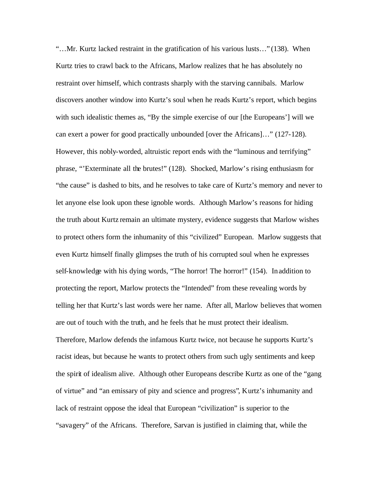"…Mr. Kurtz lacked restraint in the gratification of his various lusts…" (138). When Kurtz tries to crawl back to the Africans, Marlow realizes that he has absolutely no restraint over himself, which contrasts sharply with the starving cannibals. Marlow discovers another window into Kurtz's soul when he reads Kurtz's report, which begins with such idealistic themes as, "By the simple exercise of our [the Europeans'] will we can exert a power for good practically unbounded [over the Africans]…" (127-128). However, this nobly-worded, altruistic report ends with the "luminous and terrifying" phrase, "'Exterminate all the brutes!" (128). Shocked, Marlow's rising enthusiasm for "the cause" is dashed to bits, and he resolves to take care of Kurtz's memory and never to let anyone else look upon these ignoble words. Although Marlow's reasons for hiding the truth about Kurtz remain an ultimate mystery, evidence suggests that Marlow wishes to protect others form the inhumanity of this "civilized" European. Marlow suggests that even Kurtz himself finally glimpses the truth of his corrupted soul when he expresses self-knowledge with his dying words, "The horror! The horror!" (154). In addition to protecting the report, Marlow protects the "Intended" from these revealing words by telling her that Kurtz's last words were her name. After all, Marlow believes that women are out of touch with the truth, and he feels that he must protect their idealism. Therefore, Marlow defends the infamous Kurtz twice, not because he supports Kurtz's racist ideas, but because he wants to protect others from such ugly sentiments and keep the spirit of idealism alive. Although other Europeans describe Kurtz as one of the "gang of virtue" and "an emissary of pity and science and progress", Kurtz's inhumanity and lack of restraint oppose the ideal that European "civilization" is superior to the "savagery" of the Africans. Therefore, Sarvan is justified in claiming that, while the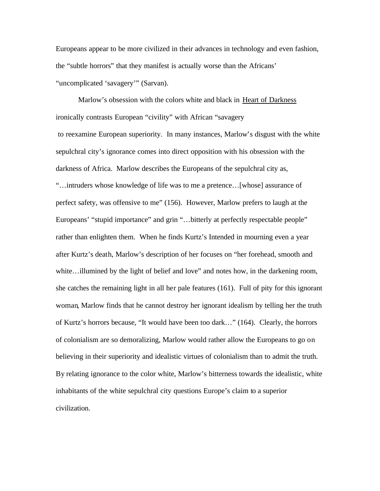Europeans appear to be more civilized in their advances in technology and even fashion, the "subtle horrors" that they manifest is actually worse than the Africans' "uncomplicated 'savagery'" (Sarvan).

Marlow's obsession with the colors white and black in Heart of Darkness ironically contrasts European "civility" with African "savagery to reexamine European superiority. In many instances, Marlow's disgust with the white sepulchral city's ignorance comes into direct opposition with his obsession with the darkness of Africa. Marlow describes the Europeans of the sepulchral city as, "…intruders whose knowledge of life was to me a pretence…[whose] assurance of perfect safety, was offensive to me" (156). However, Marlow prefers to laugh at the Europeans' "stupid importance" and grin "...bitterly at perfectly respectable people" rather than enlighten them. When he finds Kurtz's Intended in mourning even a year after Kurtz's death, Marlow's description of her focuses on "her forehead, smooth and white...illumined by the light of belief and love" and notes how, in the darkening room, she catches the remaining light in all her pale features (161). Full of pity for this ignorant woman, Marlow finds that he cannot destroy her ignorant idealism by telling her the truth of Kurtz's horrors because, "It would have been too dark…" (164). Clearly, the horrors of colonialism are so demoralizing, Marlow would rather allow the Europeans to go on believing in their superiority and idealistic virtues of colonialism than to admit the truth. By relating ignorance to the color white, Marlow's bitterness towards the idealistic, white inhabitants of the white sepulchral city questions Europe's claim to a superior civilization.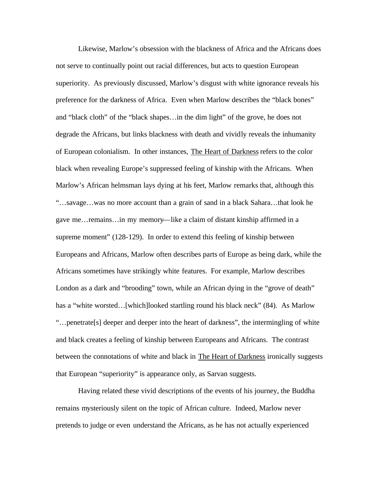Likewise, Marlow's obsession with the blackness of Africa and the Africans does not serve to continually point out racial differences, but acts to question European superiority. As previously discussed, Marlow's disgust with white ignorance reveals his preference for the darkness of Africa. Even when Marlow describes the "black bones" and "black cloth" of the "black shapes…in the dim light" of the grove, he does not degrade the Africans, but links blackness with death and vividly reveals the inhumanity of European colonialism. In other instances, The Heart of Darkness refers to the color black when revealing Europe's suppressed feeling of kinship with the Africans. When Marlow's African helmsman lays dying at his feet, Marlow remarks that, although this "…savage…was no more account than a grain of sand in a black Sahara…that look he gave me…remains…in my memory—like a claim of distant kinship affirmed in a supreme moment" (128-129). In order to extend this feeling of kinship between Europeans and Africans, Marlow often describes parts of Europe as being dark, while the Africans sometimes have strikingly white features. For example, Marlow describes London as a dark and "brooding" town, while an African dying in the "grove of death" has a "white worsted…[which]looked startling round his black neck" (84). As Marlow "…penetrate[s] deeper and deeper into the heart of darkness", the intermingling of white and black creates a feeling of kinship between Europeans and Africans. The contrast between the connotations of white and black in The Heart of Darkness ironically suggests that European "superiority" is appearance only, as Sarvan suggests.

Having related these vivid descriptions of the events of his journey, the Buddha remains mysteriously silent on the topic of African culture. Indeed, Marlow never pretends to judge or even understand the Africans, as he has not actually experienced